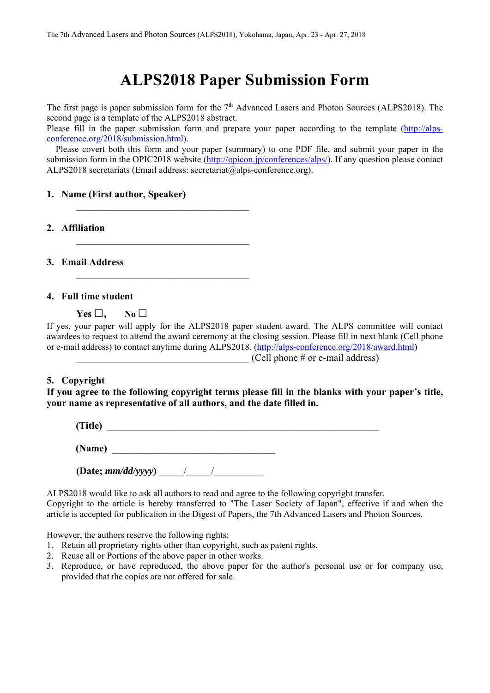# **ALPS2018 Paper Submission Form**

The first page is paper submission form for the  $7<sup>th</sup>$  Advanced Lasers and Photon Sources (ALPS2018). The second page is a template of the ALPS2018 abstract.

Please fill in the paper submission form and prepare your paper according to the template (http://alpsconference.org/2018/submission.html).

Please covert both this form and your paper (summary) to one PDF file, and submit your paper in the submission form in the OPIC2018 website (http://opicon.jp/conferences/alps/). If any question please contact ALPS2018 secretariats (Email address: secretariat@alps-conference.org).

## **1. Name (First author, Speaker)**

**2. Affiliation** 

**3. Email Address** 

### **4. Full time student**

**Yes □, No □** 

If yes, your paper will apply for the ALPS2018 paper student award. The ALPS committee will contact awardees to request to attend the award ceremony at the closing session. Please fill in next blank (Cell phone or e-mail address) to contact anytime during ALPS2018. (http://alps-conference.org/2018/award.html)

## $(Cell \space$  phone  $#$  or e-mail address)

## **5. Copyright**

## **If you agree to the following copyright terms please fill in the blanks with your paper's title, your name as representative of all authors, and the date filled in.**

| (Title) |  |
|---------|--|
| (Name)  |  |

**(Date;** *mm/dd/yyyy***)** \_\_\_\_\_/\_\_\_\_\_/\_\_\_\_\_\_\_\_\_\_

ALPS2018 would like to ask all authors to read and agree to the following copyright transfer. Copyright to the article is hereby transferred to "The Laser Society of Japan", effective if and when the article is accepted for publication in the Digest of Papers, the 7th Advanced Lasers and Photon Sources.

However, the authors reserve the following rights:

- 1. Retain all proprietary rights other than copyright, such as patent rights.
- 2. Reuse all or Portions of the above paper in other works.
- 3. Reproduce, or have reproduced, the above paper for the author's personal use or for company use, provided that the copies are not offered for sale.